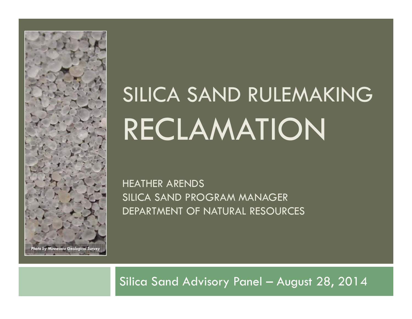

# SILICA SAND RULEMAKING RECLAMATION

HEATHER ARENDS SILICA SAND PROGRAM MANAGER DEPARTMENT OF NATURAL RESOURCES

Silica Sand Advisory Panel – August 28, 2014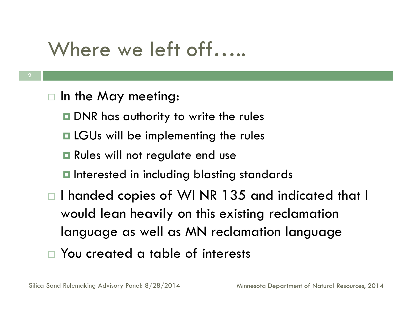# Where we left off......

- $\Box$  In the May meeting:
	- **DAR** has authority to write the rules
	- $\blacksquare$  LGUs will be implementing the rules
	- $\blacksquare$  Rules will not regulate end use
	- $\blacksquare$  Interested in including blasting standards
- $\Box$  I handed copies of WI NR 135 and indicated that I would lean heavily on this existing reclamation language as well as MN reclamation language
- You created a table of interests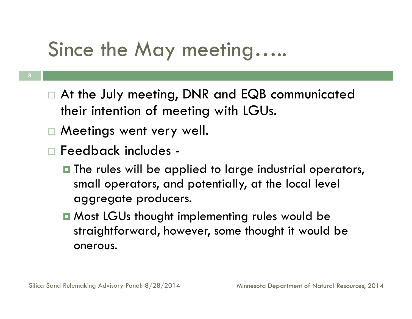#### Since the May meeting…..

- **3**
- $\Box$  At the July meeting, DNR and EQB communicated their intention of meeting with LGUs.
- Meetings went very well.
- Feedback includes
	- $\blacksquare$  The rules will be applied to large industrial operators, small operators, and potentially, at the local level aggregate producers.
	- Most LGUs thought implementing rules would be straightforward, however, some thought it would be onerous.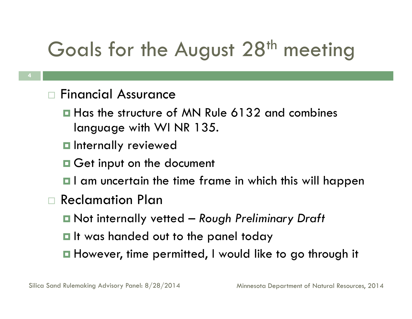# Goals for the August 28<sup>th</sup> meeting

- $\Box$  Financial Assurance
	- **□ Has the structure of MN Rule 6132 and combines** language with WI NR 135.
	- $\blacksquare$  Internally reviewed
	- **Q** Get input on the document
	- $\blacksquare$  I am uncertain the time frame in which this will happen
- $\Box$  Reclamation Plan
	- Not internally vetted *Rough Preliminary Draft*
	- $\blacksquare$  It was handed out to the panel today
	- **□** However, time permitted, I would like to go through it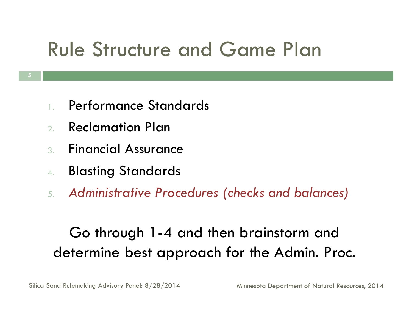# Rule Structure and Game Plan

- 1.Performance Standards
- $2<sup>1</sup>$ Reclamation Plan
- 3. Financial Assurance
- 4.Blasting Standards
- *5. Administrative Procedures (checks and balances)*

#### Go through 1-4 and then brainstorm and determine best approach for the Admin. Proc.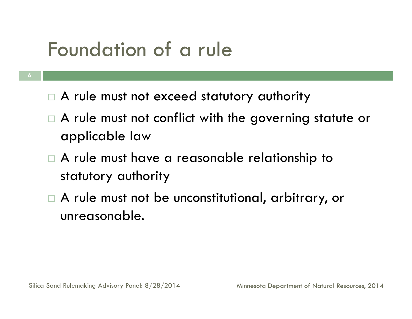### Foundation of a rule

- **6**
- $\Box$  A rule must not exceed statutory authority
- $\Box$  A rule must not conflict with the governing statute or applicable law
- $\Box$  A rule must have a reasonable relationship to statutory authority
- $\Box$  A rule must not be unconstitutional, arbitrary, or unreasonable.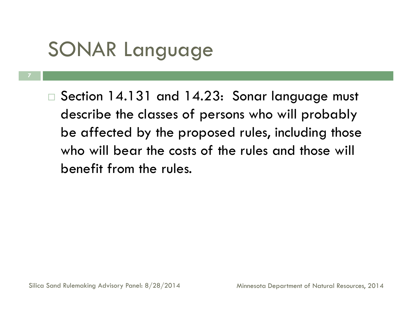# SONAR Language

**7**

 $\Box$  Section 14.131 and 14.23: Sonar language must describe the classes of persons who will probably be affected by the proposed rules, including those who will bear the costs of the rules and those will benefit from the rules.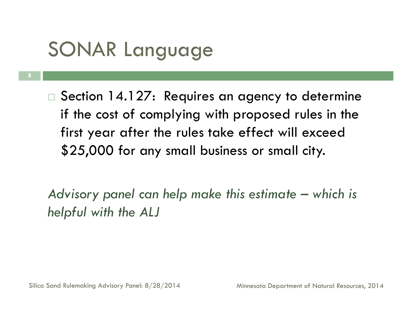# SONAR Language

**8**

 $\Box$  Section 14.127: Requires an agency to determine if the cost of complying with proposed rules in the first year after the rules take effect will exceed \$25,000 for any small business or small city.

*Advisory panel can help make this estimate – which is helpful with the ALJ*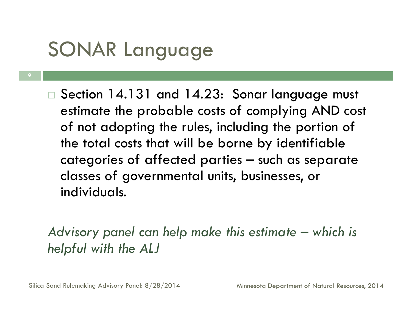# SONAR Language

**9**

 $\Box$  Section 14.131 and 14.23: Sonar language must estimate the probable costs of complying AND cost of not adopting the rules, including the portion of the total costs that will be borne by identifiable categories of affected parties – such as separate classes of governmental units, businesses, or individuals.

*Advisory panel can help make this estimate – which is helpful with the ALJ*